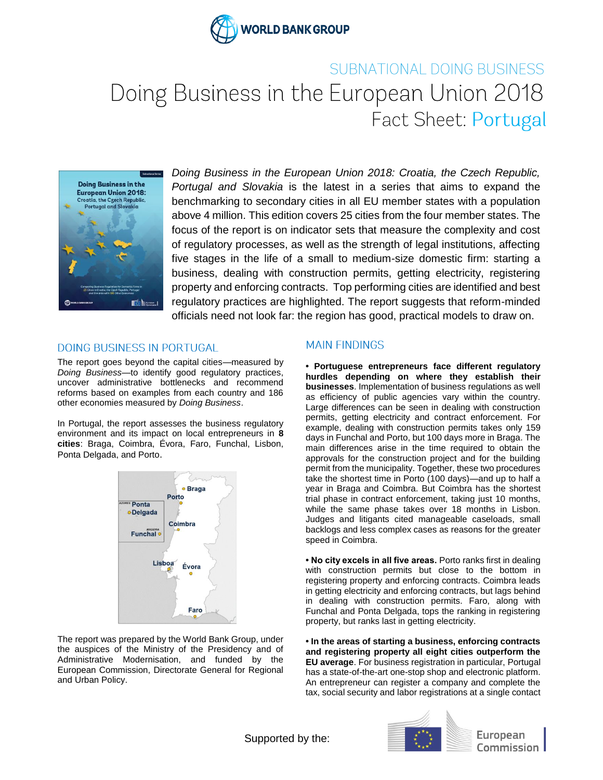

# SUBNATIONAL DOING BUSINESS Doing Business in the European Union 2018 Fact Sheet: Portugal



*Doing Business in the European Union 2018: Croatia, the Czech Republic, Portugal and Slovakia* is the latest in a series that aims to expand the benchmarking to secondary cities in all EU member states with a population above 4 million. This edition covers 25 cities from the four member states. The focus of the report is on indicator sets that measure the complexity and cost of regulatory processes, as well as the strength of legal institutions, affecting five stages in the life of a small to medium-size domestic firm: starting a business, dealing with construction permits, getting electricity, registering property and enforcing contracts. Top performing cities are identified and best regulatory practices are highlighted. The report suggests that reform-minded officials need not look far: the region has good, practical models to draw on.

## **DOING BUSINESS IN PORTUGAL**

The report goes beyond the capital cities—measured by *Doing Business—*to identify good regulatory practices, uncover administrative bottlenecks and recommend reforms based on examples from each country and 186 other economies measured by *Doing Business*.

In Portugal, the report assesses the business regulatory environment and its impact on local entrepreneurs in **8 cities**: Braga, Coimbra, Évora, Faro, Funchal, Lisbon, Ponta Delgada, and Porto.



The report was prepared by the World Bank Group, under the auspices of the Ministry of the Presidency and of Administrative Modernisation, and funded by the European Commission, Directorate General for Regional and Urban Policy.

# **MAIN FINDINGS**

**• Portuguese entrepreneurs face different regulatory hurdles depending on where they establish their businesses**. Implementation of business regulations as well as efficiency of public agencies vary within the country. Large differences can be seen in dealing with construction permits, getting electricity and contract enforcement. For example, dealing with construction permits takes only 159 days in Funchal and Porto, but 100 days more in Braga. The main differences arise in the time required to obtain the approvals for the construction project and for the building permit from the municipality. Together, these two procedures take the shortest time in Porto (100 days)—and up to half a year in Braga and Coimbra. But Coimbra has the shortest trial phase in contract enforcement, taking just 10 months, while the same phase takes over 18 months in Lisbon. Judges and litigants cited manageable caseloads, small backlogs and less complex cases as reasons for the greater speed in Coimbra.

**• No city excels in all five areas.** Porto ranks first in dealing with construction permits but close to the bottom in registering property and enforcing contracts. Coimbra leads in getting electricity and enforcing contracts, but lags behind in dealing with construction permits. Faro, along with Funchal and Ponta Delgada, tops the ranking in registering property, but ranks last in getting electricity.

**• In the areas of starting a business, enforcing contracts and registering property all eight cities outperform the EU average**. For business registration in particular, Portugal has a state-of-the-art one-stop shop and electronic platform. An entrepreneur can register a company and complete the tax, social security and labor registrations at a single contact